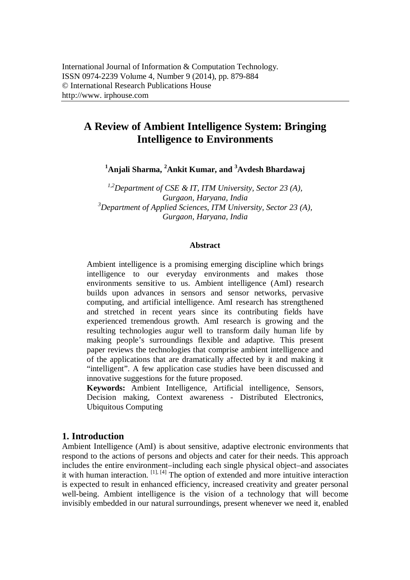# **A Review of Ambient Intelligence System: Bringing Intelligence to Environments**

**<sup>1</sup>Anjali Sharma, <sup>2</sup>Ankit Kumar, and <sup>3</sup>Avdesh Bhardawaj**

*1,2Department of CSE & IT, ITM University, Sector 23 (A), Gurgaon, Haryana, India <sup>3</sup>Department of Applied Sciences, ITM University, Sector 23 (A), Gurgaon, Haryana, India*

#### **Abstract**

Ambient intelligence is a promising emerging discipline which brings intelligence to our everyday environments and makes those environments sensitive to us. Ambient intelligence (AmI) research builds upon advances in sensors and sensor networks, pervasive computing, and artificial intelligence. AmI research has strengthened and stretched in recent years since its contributing fields have experienced tremendous growth. AmI research is growing and the resulting technologies augur well to transform daily human life by making people's surroundings flexible and adaptive. This present paper reviews the technologies that comprise ambient intelligence and of the applications that are dramatically affected by it and making it "intelligent". A few application case studies have been discussed and innovative suggestions for the future proposed.

**Keywords:** Ambient Intelligence, Artificial intelligence, Sensors, Decision making, Context awareness - Distributed Electronics, Ubiquitous Computing

#### **1. Introduction**

Ambient Intelligence (AmI) is about sensitive, adaptive electronic environments that respond to the actions of persons and objects and cater for their needs. This approach includes the entire environment–including each single physical object–and associates it with human interaction.  $\left[1\right]$ ,  $\left[4\right]$  The option of extended and more intuitive interaction is expected to result in enhanced efficiency, increased creativity and greater personal well-being. Ambient intelligence is the vision of a technology that will become invisibly embedded in our natural surroundings, present whenever we need it, enabled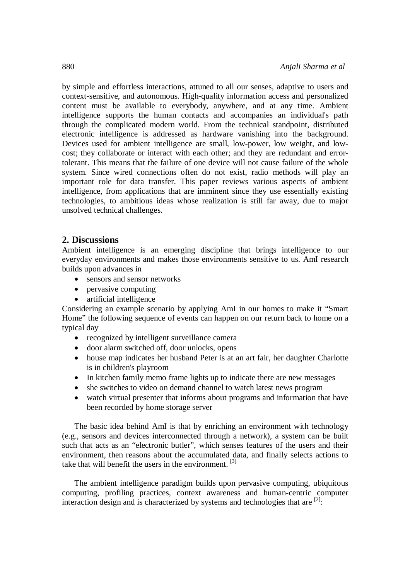by simple and effortless interactions, attuned to all our senses, adaptive to users and context-sensitive, and autonomous. High-quality information access and personalized content must be available to everybody, anywhere, and at any time. Ambient intelligence supports the human contacts and accompanies an individual's path through the complicated modern world. From the technical standpoint, distributed electronic intelligence is addressed as hardware vanishing into the background. Devices used for ambient intelligence are small, low-power, low weight, and lowcost; they collaborate or interact with each other; and they are redundant and errortolerant. This means that the failure of one device will not cause failure of the whole system. Since wired connections often do not exist, radio methods will play an important role for data transfer. This paper reviews various aspects of ambient intelligence, from applications that are imminent since they use essentially existing technologies, to ambitious ideas whose realization is still far away, due to major unsolved technical challenges.

### **2. Discussions**

Ambient intelligence is an emerging discipline that brings intelligence to our everyday environments and makes those environments sensitive to us. AmI research builds upon advances in

- sensors and sensor networks
- pervasive computing
- artificial intelligence

Considering an example scenario by applying AmI in our homes to make it "Smart Home" the following sequence of events can happen on our return back to home on a typical day

- recognized by intelligent surveillance camera
- door alarm switched off, door unlocks, opens
- house map indicates her husband Peter is at an art fair, her daughter Charlotte is in children's playroom
- In kitchen family memo frame lights up to indicate there are new messages
- she switches to video on demand channel to watch latest news program
- watch virtual presenter that informs about programs and information that have been recorded by home storage server

The basic idea behind AmI is that by enriching an environment with technology (e.g., sensors and devices interconnected through a network), a system can be built such that acts as an "electronic butler", which senses features of the users and their environment, then reasons about the accumulated data, and finally selects actions to take that will benefit the users in the environment. <sup>[3]</sup>

The ambient intelligence paradigm builds upon pervasive computing, ubiquitous computing, profiling practices, context awareness and human-centric computer interaction design and is characterized by systems and technologies that are  $^{[2]}$ :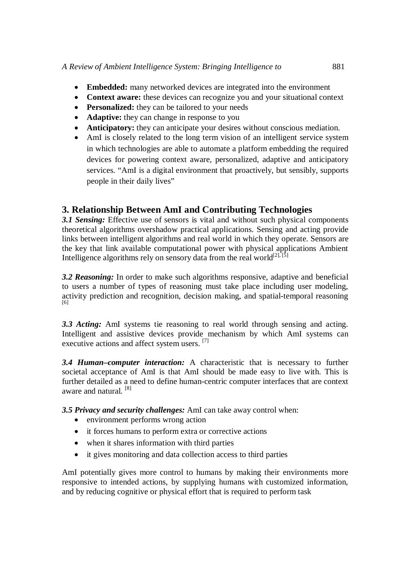- **Embedded:** many networked devices are integrated into the environment
- **Context aware:** these devices can recognize you and your situational context
- **Personalized:** they can be tailored to your needs
- **Adaptive:** they can change in response to you
- **Anticipatory:** they can anticipate your desires without conscious mediation.
- AmI is closely related to the long term vision of an intelligent service system in which technologies are able to automate a platform embedding the required devices for powering context aware, personalized, adaptive and anticipatory services. "AmI is a digital environment that proactively, but sensibly, supports people in their daily lives"

# **3. Relationship Between AmI and Contributing Technologies**

*3.1 Sensing:* Effective use of sensors is vital and without such physical components theoretical algorithms overshadow practical applications. Sensing and acting provide links between intelligent algorithms and real world in which they operate. Sensors are the key that link available computational power with physical applications Ambient Intelligence algorithms rely on sensory data from the real world<sup>[2], [5]</sup>

*3.2 Reasoning:* In order to make such algorithms responsive, adaptive and beneficial to users a number of types of reasoning must take place including user modeling, activity prediction and recognition, decision making, and spatial-temporal reasoning [6]

*3.3 Acting:* AmI systems tie reasoning to real world through sensing and acting. Intelligent and assistive devices provide mechanism by which AmI systems can executive actions and affect system users. <sup>[7]</sup>

*3.4 Human–computer interaction:* A characteristic that is necessary to further societal acceptance of AmI is that AmI should be made easy to live with. This is further detailed as a need to define human-centric computer interfaces that are context aware and natural.<sup>[8]</sup>

*3.5 Privacy and security challenges:* AmI can take away control when:

- environment performs wrong action
- it forces humans to perform extra or corrective actions
- when it shares information with third parties
- it gives monitoring and data collection access to third parties

AmI potentially gives more control to humans by making their environments more responsive to intended actions, by supplying humans with customized information, and by reducing cognitive or physical effort that is required to perform task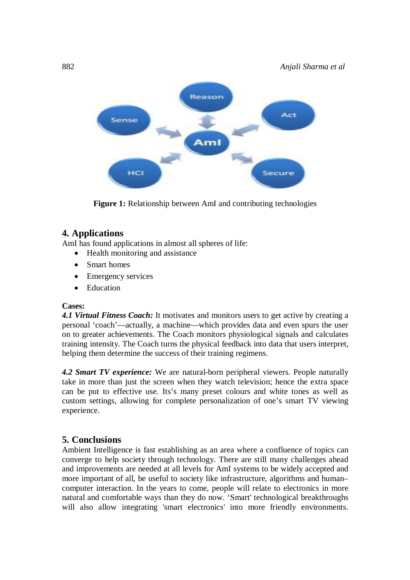

**Figure 1:** Relationship between AmI and contributing technologies

## **4. Applications**

AmI has found applications in almost all spheres of life:

- Health monitoring and assistance
- Smart homes
- Emergency services
- Education

### **Cases:**

*4.1 Virtual Fitness Coach:* It motivates and monitors users to get active by creating a personal 'coach'—actually, a machine—which provides data and even spurs the user on to greater achievements. The Coach monitors physiological signals and calculates training intensity. The Coach turns the physical feedback into data that users interpret, helping them determine the success of their training regimens.

*4.2 Smart TV experience:* We are natural-born peripheral viewers. People naturally take in more than just the screen when they watch television; hence the extra space can be put to effective use. Its's many preset colours and white tones as well as custom settings, allowing for complete personalization of one's smart TV viewing experience.

# **5. Conclusions**

Ambient Intelligence is fast establishing as an area where a confluence of topics can converge to help society through technology. There are still many challenges ahead and improvements are needed at all levels for AmI systems to be widely accepted and more important of all, be useful to society like infrastructure, algorithms and human– computer interaction. In the years to come, people will relate to electronics in more natural and comfortable ways than they do now. 'Smart' technological breakthroughs will also allow integrating 'smart electronics' into more friendly environments.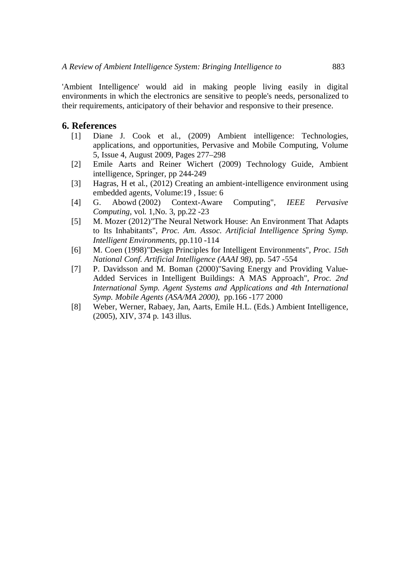'Ambient Intelligence' would aid in making people living easily in digital environments in which the electronics are sensitive to people's needs, personalized to their requirements, anticipatory of their behavior and responsive to their presence.

#### **6. References**

- [1] Diane J. Cook et al., (2009) Ambient intelligence: Technologies, applications, and opportunities, Pervasive and Mobile Computing, Volume 5, Issue 4, August 2009, Pages 277–298
- [2] Emile Aarts and Reiner Wichert (2009) Technology Guide, Ambient intelligence, Springer, pp 244-249
- [3] Hagras, H et al., (2012) Creating an ambient-intelligence environment using embedded agents, Volume:19 , Issue: 6
- [4] G. Abowd (2002) Context-Aware Computing", *IEEE Pervasive Computing*, vol. 1,No. 3, pp.22 -23
- [5] M. Mozer (2012)"The Neural Network House: An Environment That Adapts to Its Inhabitants", *Proc. Am. Assoc. Artificial Intelligence Spring Symp. Intelligent Environments*, pp.110 -114
- [6] M. Coen (1998)"Design Principles for Intelligent Environments", *Proc. 15th National Conf. Artificial Intelligence (AAAI 98)*, pp. 547 -554
- [7] P. Davidsson and M. Boman (2000)"Saving Energy and Providing Value-Added Services in Intelligent Buildings: A MAS Approach", *Proc. 2nd International Symp. Agent Systems and Applications and 4th International Symp. Mobile Agents (ASA/MA 2000)*, pp.166 -177 2000
- [8] Weber, Werner, Rabaey, Jan, Aarts, Emile H.L. (Eds.) Ambient Intelligence, (2005), XIV, 374 p. 143 illus.